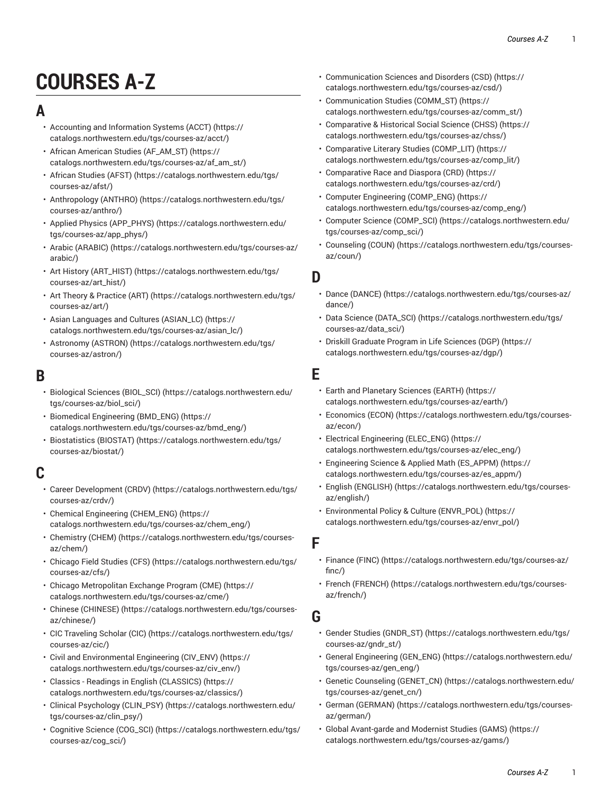# **COURSES A-Z**

## **A**

- Accounting and [Information](https://catalogs.northwestern.edu/tgs/courses-az/acct/) Systems (ACCT) ([https://](https://catalogs.northwestern.edu/tgs/courses-az/acct/) [catalogs.northwestern.edu/tgs/courses-az/acct/](https://catalogs.northwestern.edu/tgs/courses-az/acct/))
- [African American Studies \(AF\\_AM\\_ST\) \(https://](https://catalogs.northwestern.edu/tgs/courses-az/af_am_st/) [catalogs.northwestern.edu/tgs/courses-az/af\\_am\\_st/](https://catalogs.northwestern.edu/tgs/courses-az/af_am_st/))
- [African Studies \(AFST\)](https://catalogs.northwestern.edu/tgs/courses-az/afst/) ([https://catalogs.northwestern.edu/tgs/](https://catalogs.northwestern.edu/tgs/courses-az/afst/) [courses-az/afst/\)](https://catalogs.northwestern.edu/tgs/courses-az/afst/)
- [Anthropology](https://catalogs.northwestern.edu/tgs/courses-az/anthro/) (ANTHRO) [\(https://catalogs.northwestern.edu/tgs/](https://catalogs.northwestern.edu/tgs/courses-az/anthro/) [courses-az/anthro/](https://catalogs.northwestern.edu/tgs/courses-az/anthro/))
- Applied Physics [\(APP\\_PHYS\)](https://catalogs.northwestern.edu/tgs/courses-az/app_phys/) ([https://catalogs.northwestern.edu/](https://catalogs.northwestern.edu/tgs/courses-az/app_phys/) [tgs/courses-az/app\\_phys/](https://catalogs.northwestern.edu/tgs/courses-az/app_phys/))
- Arabic [\(ARABIC\)](https://catalogs.northwestern.edu/tgs/courses-az/arabic/) [\(https://catalogs.northwestern.edu/tgs/courses-az/](https://catalogs.northwestern.edu/tgs/courses-az/arabic/) [arabic/\)](https://catalogs.northwestern.edu/tgs/courses-az/arabic/)
- Art History [\(ART\\_HIST\)](https://catalogs.northwestern.edu/tgs/courses-az/art_hist/) ([https://catalogs.northwestern.edu/tgs/](https://catalogs.northwestern.edu/tgs/courses-az/art_hist/) [courses-az/art\\_hist/\)](https://catalogs.northwestern.edu/tgs/courses-az/art_hist/)
- Art Theory & [Practice](https://catalogs.northwestern.edu/tgs/courses-az/art/) (ART) [\(https://catalogs.northwestern.edu/tgs/](https://catalogs.northwestern.edu/tgs/courses-az/art/) [courses-az/art/\)](https://catalogs.northwestern.edu/tgs/courses-az/art/)
- Asian Languages and Cultures [\(ASIAN\\_LC\)](https://catalogs.northwestern.edu/tgs/courses-az/asian_lc/) ([https://](https://catalogs.northwestern.edu/tgs/courses-az/asian_lc/) [catalogs.northwestern.edu/tgs/courses-az/asian\\_lc/\)](https://catalogs.northwestern.edu/tgs/courses-az/asian_lc/)
- [Astronomy](https://catalogs.northwestern.edu/tgs/courses-az/astron/) (ASTRON) ([https://catalogs.northwestern.edu/tgs/](https://catalogs.northwestern.edu/tgs/courses-az/astron/) [courses-az/astron/\)](https://catalogs.northwestern.edu/tgs/courses-az/astron/)

### **B**

- [Biological Sciences \(BIOL\\_SCI\)](https://catalogs.northwestern.edu/tgs/courses-az/biol_sci/) [\(https://catalogs.northwestern.edu/](https://catalogs.northwestern.edu/tgs/courses-az/biol_sci/) [tgs/courses-az/biol\\_sci/\)](https://catalogs.northwestern.edu/tgs/courses-az/biol_sci/)
- [Biomedical Engineering \(BMD\\_ENG\) \(https://](https://catalogs.northwestern.edu/tgs/courses-az/bmd_eng/) [catalogs.northwestern.edu/tgs/courses-az/bmd\\_eng/\)](https://catalogs.northwestern.edu/tgs/courses-az/bmd_eng/)
- [Biostatistics](https://catalogs.northwestern.edu/tgs/courses-az/biostat/) (BIOSTAT) ([https://catalogs.northwestern.edu/tgs/](https://catalogs.northwestern.edu/tgs/courses-az/biostat/) [courses-az/biostat/](https://catalogs.northwestern.edu/tgs/courses-az/biostat/))

# **C**

- Career [Development](https://catalogs.northwestern.edu/tgs/courses-az/crdv/) (CRDV) [\(https://catalogs.northwestern.edu/tgs/](https://catalogs.northwestern.edu/tgs/courses-az/crdv/) [courses-az/crdv/](https://catalogs.northwestern.edu/tgs/courses-az/crdv/))
- [Chemical Engineering \(CHEM\\_ENG\)](https://catalogs.northwestern.edu/tgs/courses-az/chem_eng/) ([https://](https://catalogs.northwestern.edu/tgs/courses-az/chem_eng/) [catalogs.northwestern.edu/tgs/courses-az/chem\\_eng/](https://catalogs.northwestern.edu/tgs/courses-az/chem_eng/))
- [Chemistry](https://catalogs.northwestern.edu/tgs/courses-az/chem/) (CHEM) ([https://catalogs.northwestern.edu/tgs/courses](https://catalogs.northwestern.edu/tgs/courses-az/chem/)[az/chem/](https://catalogs.northwestern.edu/tgs/courses-az/chem/))
- [Chicago Field Studies \(CFS\)](https://catalogs.northwestern.edu/tgs/courses-az/cfs/) ([https://catalogs.northwestern.edu/tgs/](https://catalogs.northwestern.edu/tgs/courses-az/cfs/) [courses-az/cfs/](https://catalogs.northwestern.edu/tgs/courses-az/cfs/))
- Chicago [Metropolitan](https://catalogs.northwestern.edu/tgs/courses-az/cme/) Exchange Program (CME) [\(https://](https://catalogs.northwestern.edu/tgs/courses-az/cme/) [catalogs.northwestern.edu/tgs/courses-az/cme/\)](https://catalogs.northwestern.edu/tgs/courses-az/cme/)
- [Chinese \(CHINESE\)](https://catalogs.northwestern.edu/tgs/courses-az/chinese/) ([https://catalogs.northwestern.edu/tgs/courses](https://catalogs.northwestern.edu/tgs/courses-az/chinese/)[az/chinese/](https://catalogs.northwestern.edu/tgs/courses-az/chinese/))
- CIC [Traveling](https://catalogs.northwestern.edu/tgs/courses-az/cic/) Scholar (CIC) ([https://catalogs.northwestern.edu/tgs/](https://catalogs.northwestern.edu/tgs/courses-az/cic/) [courses-az/cic/](https://catalogs.northwestern.edu/tgs/courses-az/cic/))
- Civil and [Environmental](https://catalogs.northwestern.edu/tgs/courses-az/civ_env/) Engineering (CIV\_ENV) [\(https://](https://catalogs.northwestern.edu/tgs/courses-az/civ_env/) [catalogs.northwestern.edu/tgs/courses-az/civ\\_env/](https://catalogs.northwestern.edu/tgs/courses-az/civ_env/))
- Classics Readings in English [\(CLASSICS\)](https://catalogs.northwestern.edu/tgs/courses-az/classics/) ([https://](https://catalogs.northwestern.edu/tgs/courses-az/classics/) [catalogs.northwestern.edu/tgs/courses-az/classics/\)](https://catalogs.northwestern.edu/tgs/courses-az/classics/)
- Clinical [Psychology](https://catalogs.northwestern.edu/tgs/courses-az/clin_psy/) (CLIN\_PSY) ([https://catalogs.northwestern.edu/](https://catalogs.northwestern.edu/tgs/courses-az/clin_psy/) [tgs/courses-az/clin\\_psy/\)](https://catalogs.northwestern.edu/tgs/courses-az/clin_psy/)
- Cognitive Science [\(COG\\_SCI\)](https://catalogs.northwestern.edu/tgs/courses-az/cog_sci/) ([https://catalogs.northwestern.edu/tgs/](https://catalogs.northwestern.edu/tgs/courses-az/cog_sci/) [courses-az/cog\\_sci/](https://catalogs.northwestern.edu/tgs/courses-az/cog_sci/))
- [Communication](https://catalogs.northwestern.edu/tgs/courses-az/csd/) Sciences and Disorders (CSD) [\(https://](https://catalogs.northwestern.edu/tgs/courses-az/csd/) [catalogs.northwestern.edu/tgs/courses-az/csd/\)](https://catalogs.northwestern.edu/tgs/courses-az/csd/)
- [Communication Studies \(COMM\\_ST\)](https://catalogs.northwestern.edu/tgs/courses-az/comm_st/) ([https://](https://catalogs.northwestern.edu/tgs/courses-az/comm_st/) [catalogs.northwestern.edu/tgs/courses-az/comm\\_st/](https://catalogs.northwestern.edu/tgs/courses-az/comm_st/))
- [Comparative](https://catalogs.northwestern.edu/tgs/courses-az/chss/) & Historical Social Science (CHSS) ([https://](https://catalogs.northwestern.edu/tgs/courses-az/chss/) [catalogs.northwestern.edu/tgs/courses-az/chss/](https://catalogs.northwestern.edu/tgs/courses-az/chss/))
- [Comparative](https://catalogs.northwestern.edu/tgs/courses-az/comp_lit/) Literary Studies (COMP\_LIT) ([https://](https://catalogs.northwestern.edu/tgs/courses-az/comp_lit/) [catalogs.northwestern.edu/tgs/courses-az/comp\\_lit/\)](https://catalogs.northwestern.edu/tgs/courses-az/comp_lit/)
- [Comparative](https://catalogs.northwestern.edu/tgs/courses-az/crd/) Race and Diaspora (CRD) [\(https://](https://catalogs.northwestern.edu/tgs/courses-az/crd/) [catalogs.northwestern.edu/tgs/courses-az/crd/](https://catalogs.northwestern.edu/tgs/courses-az/crd/))
- [Computer Engineering \(COMP\\_ENG\) \(https://](https://catalogs.northwestern.edu/tgs/courses-az/comp_eng/) [catalogs.northwestern.edu/tgs/courses-az/comp\\_eng/](https://catalogs.northwestern.edu/tgs/courses-az/comp_eng/))
- [Computer Science \(COMP\\_SCI\)](https://catalogs.northwestern.edu/tgs/courses-az/comp_sci/) ([https://catalogs.northwestern.edu/](https://catalogs.northwestern.edu/tgs/courses-az/comp_sci/) [tgs/courses-az/comp\\_sci/](https://catalogs.northwestern.edu/tgs/courses-az/comp_sci/))
- [Counseling \(COUN\) \(https://catalogs.northwestern.edu/tgs/courses](https://catalogs.northwestern.edu/tgs/courses-az/coun/)[az/coun/](https://catalogs.northwestern.edu/tgs/courses-az/coun/))

### **D**

- Dance [\(DANCE\)](https://catalogs.northwestern.edu/tgs/courses-az/dance/) ([https://catalogs.northwestern.edu/tgs/courses-az/](https://catalogs.northwestern.edu/tgs/courses-az/dance/) [dance/\)](https://catalogs.northwestern.edu/tgs/courses-az/dance/)
- Data Science [\(DATA\\_SCI\) \(https://catalogs.northwestern.edu/tgs/](https://catalogs.northwestern.edu/tgs/courses-az/data_sci/) [courses-az/data\\_sci/](https://catalogs.northwestern.edu/tgs/courses-az/data_sci/))
- Driskill [Graduate](https://catalogs.northwestern.edu/tgs/courses-az/dgp/) Program in Life Sciences (DGP) ([https://](https://catalogs.northwestern.edu/tgs/courses-az/dgp/) [catalogs.northwestern.edu/tgs/courses-az/dgp/\)](https://catalogs.northwestern.edu/tgs/courses-az/dgp/)

### **E**

- Earth and [Planetary](https://catalogs.northwestern.edu/tgs/courses-az/earth/) Sciences (EARTH) [\(https://](https://catalogs.northwestern.edu/tgs/courses-az/earth/) [catalogs.northwestern.edu/tgs/courses-az/earth/\)](https://catalogs.northwestern.edu/tgs/courses-az/earth/)
- [Economics](https://catalogs.northwestern.edu/tgs/courses-az/econ/) (ECON) [\(https://catalogs.northwestern.edu/tgs/courses](https://catalogs.northwestern.edu/tgs/courses-az/econ/)[az/econ/](https://catalogs.northwestern.edu/tgs/courses-az/econ/))
- [Electrical Engineering \(ELEC\\_ENG\) \(https://](https://catalogs.northwestern.edu/tgs/courses-az/elec_eng/) [catalogs.northwestern.edu/tgs/courses-az/elec\\_eng/\)](https://catalogs.northwestern.edu/tgs/courses-az/elec_eng/)
- [Engineering Science & Applied Math \(ES\\_APPM\)](https://catalogs.northwestern.edu/tgs/courses-az/es_appm/) ([https://](https://catalogs.northwestern.edu/tgs/courses-az/es_appm/) [catalogs.northwestern.edu/tgs/courses-az/es\\_appm/](https://catalogs.northwestern.edu/tgs/courses-az/es_appm/))
- [English \(ENGLISH\)](https://catalogs.northwestern.edu/tgs/courses-az/english/) ([https://catalogs.northwestern.edu/tgs/courses](https://catalogs.northwestern.edu/tgs/courses-az/english/)[az/english/](https://catalogs.northwestern.edu/tgs/courses-az/english/))
- [Environmental](https://catalogs.northwestern.edu/tgs/courses-az/envr_pol/) Policy & Culture (ENVR\_POL) [\(https://](https://catalogs.northwestern.edu/tgs/courses-az/envr_pol/) [catalogs.northwestern.edu/tgs/courses-az/envr\\_pol/](https://catalogs.northwestern.edu/tgs/courses-az/envr_pol/))

### **F**

- [Finance](https://catalogs.northwestern.edu/tgs/courses-az/finc/) (FINC) ([https://catalogs.northwestern.edu/tgs/courses-az/](https://catalogs.northwestern.edu/tgs/courses-az/finc/) [finc/\)](https://catalogs.northwestern.edu/tgs/courses-az/finc/)
- French [\(FRENCH\) \(https://catalogs.northwestern.edu/tgs/courses](https://catalogs.northwestern.edu/tgs/courses-az/french/)[az/french/](https://catalogs.northwestern.edu/tgs/courses-az/french/))

## **G**

- [Gender Studies \(GNDR\\_ST\) \(https://catalogs.northwestern.edu/tgs/](https://catalogs.northwestern.edu/tgs/courses-az/gndr_st/) [courses-az/gndr\\_st/](https://catalogs.northwestern.edu/tgs/courses-az/gndr_st/))
- [General Engineering \(GEN\\_ENG\)](https://catalogs.northwestern.edu/tgs/courses-az/gen_eng/) ([https://catalogs.northwestern.edu/](https://catalogs.northwestern.edu/tgs/courses-az/gen_eng/) [tgs/courses-az/gen\\_eng/](https://catalogs.northwestern.edu/tgs/courses-az/gen_eng/))
- Genetic Counseling [\(GENET\\_CN\)](https://catalogs.northwestern.edu/tgs/courses-az/genet_cn/) ([https://catalogs.northwestern.edu/](https://catalogs.northwestern.edu/tgs/courses-az/genet_cn/) [tgs/courses-az/genet\\_cn/\)](https://catalogs.northwestern.edu/tgs/courses-az/genet_cn/)
- German [\(GERMAN\)](https://catalogs.northwestern.edu/tgs/courses-az/german/) [\(https://catalogs.northwestern.edu/tgs/courses](https://catalogs.northwestern.edu/tgs/courses-az/german/)[az/german/\)](https://catalogs.northwestern.edu/tgs/courses-az/german/)
- Global [Avant-garde](https://catalogs.northwestern.edu/tgs/courses-az/gams/) and Modernist Studies (GAMS) ([https://](https://catalogs.northwestern.edu/tgs/courses-az/gams/) [catalogs.northwestern.edu/tgs/courses-az/gams/](https://catalogs.northwestern.edu/tgs/courses-az/gams/))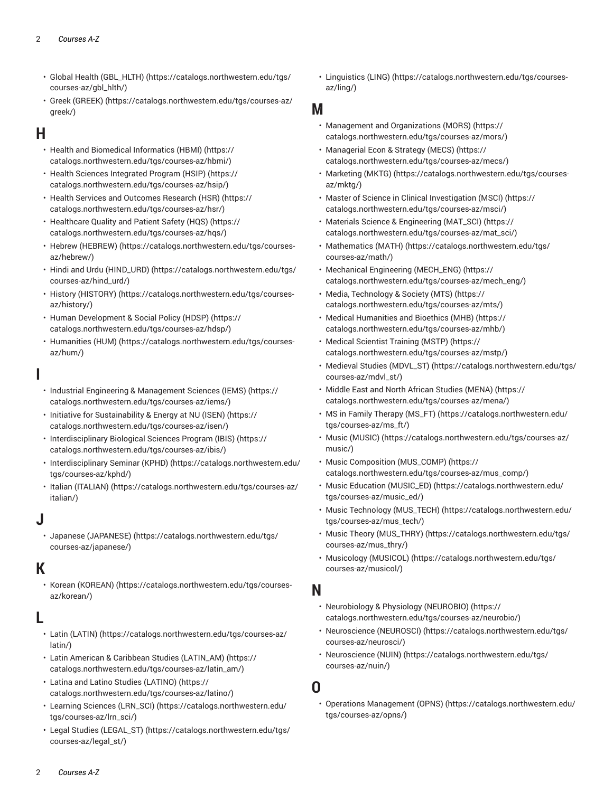- Global Health [\(GBL\\_HLTH\)](https://catalogs.northwestern.edu/tgs/courses-az/gbl_hlth/) ([https://catalogs.northwestern.edu/tgs/](https://catalogs.northwestern.edu/tgs/courses-az/gbl_hlth/) [courses-az/gbl\\_hlth/](https://catalogs.northwestern.edu/tgs/courses-az/gbl_hlth/))
- Greek [\(GREEK\)](https://catalogs.northwestern.edu/tgs/courses-az/greek/) ([https://catalogs.northwestern.edu/tgs/courses-az/](https://catalogs.northwestern.edu/tgs/courses-az/greek/) [greek/](https://catalogs.northwestern.edu/tgs/courses-az/greek/))

## **H**

- [Health and Biomedical Informatics \(HBMI\)](https://catalogs.northwestern.edu/tgs/courses-az/hbmi/) ([https://](https://catalogs.northwestern.edu/tgs/courses-az/hbmi/) [catalogs.northwestern.edu/tgs/courses-az/hbmi/\)](https://catalogs.northwestern.edu/tgs/courses-az/hbmi/)
- Health Sciences [Integrated](https://catalogs.northwestern.edu/tgs/courses-az/hsip/) Program (HSIP) [\(https://](https://catalogs.northwestern.edu/tgs/courses-az/hsip/) [catalogs.northwestern.edu/tgs/courses-az/hsip/\)](https://catalogs.northwestern.edu/tgs/courses-az/hsip/)
- Health Services and [Outcomes](https://catalogs.northwestern.edu/tgs/courses-az/hsr/) Research (HSR) [\(https://](https://catalogs.northwestern.edu/tgs/courses-az/hsr/) [catalogs.northwestern.edu/tgs/courses-az/hsr/\)](https://catalogs.northwestern.edu/tgs/courses-az/hsr/)
- [Healthcare](https://catalogs.northwestern.edu/tgs/courses-az/hqs/) Quality and Patient Safety (HQS) ([https://](https://catalogs.northwestern.edu/tgs/courses-az/hqs/) [catalogs.northwestern.edu/tgs/courses-az/hqs/\)](https://catalogs.northwestern.edu/tgs/courses-az/hqs/)
- Hebrew [\(HEBREW\)](https://catalogs.northwestern.edu/tgs/courses-az/hebrew/) ([https://catalogs.northwestern.edu/tgs/courses](https://catalogs.northwestern.edu/tgs/courses-az/hebrew/)[az/hebrew/](https://catalogs.northwestern.edu/tgs/courses-az/hebrew/))
- Hindi and Urdu [\(HIND\\_URD\)](https://catalogs.northwestern.edu/tgs/courses-az/hind_urd/) ([https://catalogs.northwestern.edu/tgs/](https://catalogs.northwestern.edu/tgs/courses-az/hind_urd/) [courses-az/hind\\_urd/\)](https://catalogs.northwestern.edu/tgs/courses-az/hind_urd/)
- History [\(HISTORY\)](https://catalogs.northwestern.edu/tgs/courses-az/history/) ([https://catalogs.northwestern.edu/tgs/courses](https://catalogs.northwestern.edu/tgs/courses-az/history/)[az/history/\)](https://catalogs.northwestern.edu/tgs/courses-az/history/)
- Human [Development](https://catalogs.northwestern.edu/tgs/courses-az/hdsp/) & Social Policy (HDSP) [\(https://](https://catalogs.northwestern.edu/tgs/courses-az/hdsp/) [catalogs.northwestern.edu/tgs/courses-az/hdsp/](https://catalogs.northwestern.edu/tgs/courses-az/hdsp/))
- [Humanities \(HUM\) \(https://catalogs.northwestern.edu/tgs/courses](https://catalogs.northwestern.edu/tgs/courses-az/hum/)[az/hum/](https://catalogs.northwestern.edu/tgs/courses-az/hum/))

# **I**

- [Industrial Engineering & Management Sciences \(IEMS\)](https://catalogs.northwestern.edu/tgs/courses-az/iems/) ([https://](https://catalogs.northwestern.edu/tgs/courses-az/iems/) [catalogs.northwestern.edu/tgs/courses-az/iems/\)](https://catalogs.northwestern.edu/tgs/courses-az/iems/)
- Initiative for [Sustainability](https://catalogs.northwestern.edu/tgs/courses-az/isen/) & Energy at NU (ISEN) [\(https://](https://catalogs.northwestern.edu/tgs/courses-az/isen/) [catalogs.northwestern.edu/tgs/courses-az/isen/](https://catalogs.northwestern.edu/tgs/courses-az/isen/))
- [Interdisciplinary](https://catalogs.northwestern.edu/tgs/courses-az/ibis/) Biological Sciences Program (IBIS) [\(https://](https://catalogs.northwestern.edu/tgs/courses-az/ibis/) [catalogs.northwestern.edu/tgs/courses-az/ibis/](https://catalogs.northwestern.edu/tgs/courses-az/ibis/))
- [Interdisciplinary](https://catalogs.northwestern.edu/tgs/courses-az/kphd/) Seminar (KPHD) ([https://catalogs.northwestern.edu/](https://catalogs.northwestern.edu/tgs/courses-az/kphd/) [tgs/courses-az/kphd/](https://catalogs.northwestern.edu/tgs/courses-az/kphd/))
- Italian [\(ITALIAN\) \(https://catalogs.northwestern.edu/tgs/courses-az/](https://catalogs.northwestern.edu/tgs/courses-az/italian/) [italian/](https://catalogs.northwestern.edu/tgs/courses-az/italian/))

# **J**

• Japanese [\(JAPANESE\)](https://catalogs.northwestern.edu/tgs/courses-az/japanese/) ([https://catalogs.northwestern.edu/tgs/](https://catalogs.northwestern.edu/tgs/courses-az/japanese/) [courses-az/japanese/](https://catalogs.northwestern.edu/tgs/courses-az/japanese/))

# **K**

• Korean [\(KOREAN\)](https://catalogs.northwestern.edu/tgs/courses-az/korean/) ([https://catalogs.northwestern.edu/tgs/courses](https://catalogs.northwestern.edu/tgs/courses-az/korean/)[az/korean/\)](https://catalogs.northwestern.edu/tgs/courses-az/korean/)

# **L**

- Latin [\(LATIN\) \(https://catalogs.northwestern.edu/tgs/courses-az/](https://catalogs.northwestern.edu/tgs/courses-az/latin/) [latin/](https://catalogs.northwestern.edu/tgs/courses-az/latin/))
- Latin American & Caribbean Studies [\(LATIN\\_AM\)](https://catalogs.northwestern.edu/tgs/courses-az/latin_am/) ([https://](https://catalogs.northwestern.edu/tgs/courses-az/latin_am/) [catalogs.northwestern.edu/tgs/courses-az/latin\\_am/](https://catalogs.northwestern.edu/tgs/courses-az/latin_am/))
- Latina and Latino Studies [\(LATINO\) \(https://](https://catalogs.northwestern.edu/tgs/courses-az/latino/) [catalogs.northwestern.edu/tgs/courses-az/latino/\)](https://catalogs.northwestern.edu/tgs/courses-az/latino/)
- [Learning Sciences \(LRN\\_SCI\) \(https://catalogs.northwestern.edu/](https://catalogs.northwestern.edu/tgs/courses-az/lrn_sci/) [tgs/courses-az/lrn\\_sci/](https://catalogs.northwestern.edu/tgs/courses-az/lrn_sci/))
- [Legal Studies \(LEGAL\\_ST\)](https://catalogs.northwestern.edu/tgs/courses-az/legal_st/) ([https://catalogs.northwestern.edu/tgs/](https://catalogs.northwestern.edu/tgs/courses-az/legal_st/) [courses-az/legal\\_st/\)](https://catalogs.northwestern.edu/tgs/courses-az/legal_st/)

• [Linguistics \(LING\) \(https://catalogs.northwestern.edu/tgs/courses](https://catalogs.northwestern.edu/tgs/courses-az/ling/)[az/ling/\)](https://catalogs.northwestern.edu/tgs/courses-az/ling/)

#### **M**

- Management and [Organizations](https://catalogs.northwestern.edu/tgs/courses-az/mors/) (MORS) [\(https://](https://catalogs.northwestern.edu/tgs/courses-az/mors/) [catalogs.northwestern.edu/tgs/courses-az/mors/](https://catalogs.northwestern.edu/tgs/courses-az/mors/))
- [Managerial](https://catalogs.northwestern.edu/tgs/courses-az/mecs/) Econ & Strategy (MECS) ([https://](https://catalogs.northwestern.edu/tgs/courses-az/mecs/) [catalogs.northwestern.edu/tgs/courses-az/mecs/\)](https://catalogs.northwestern.edu/tgs/courses-az/mecs/)
- [Marketing](https://catalogs.northwestern.edu/tgs/courses-az/mktg/) (MKTG) ([https://catalogs.northwestern.edu/tgs/courses](https://catalogs.northwestern.edu/tgs/courses-az/mktg/)[az/mktg/\)](https://catalogs.northwestern.edu/tgs/courses-az/mktg/)
- Master of Science in Clinical [Investigation](https://catalogs.northwestern.edu/tgs/courses-az/msci/) (MSCI) [\(https://](https://catalogs.northwestern.edu/tgs/courses-az/msci/) [catalogs.northwestern.edu/tgs/courses-az/msci/](https://catalogs.northwestern.edu/tgs/courses-az/msci/))
- Materials Science & [Engineering](https://catalogs.northwestern.edu/tgs/courses-az/mat_sci/) (MAT\_SCI) ([https://](https://catalogs.northwestern.edu/tgs/courses-az/mat_sci/) [catalogs.northwestern.edu/tgs/courses-az/mat\\_sci/](https://catalogs.northwestern.edu/tgs/courses-az/mat_sci/))
- [Mathematics](https://catalogs.northwestern.edu/tgs/courses-az/math/) (MATH) ([https://catalogs.northwestern.edu/tgs/](https://catalogs.northwestern.edu/tgs/courses-az/math/) [courses-az/math/\)](https://catalogs.northwestern.edu/tgs/courses-az/math/)
- [Mechanical Engineering \(MECH\\_ENG\) \(https://](https://catalogs.northwestern.edu/tgs/courses-az/mech_eng/) [catalogs.northwestern.edu/tgs/courses-az/mech\\_eng/\)](https://catalogs.northwestern.edu/tgs/courses-az/mech_eng/)
- Media, [Technology](https://catalogs.northwestern.edu/tgs/courses-az/mts/) & Society (MTS) ([https://](https://catalogs.northwestern.edu/tgs/courses-az/mts/) [catalogs.northwestern.edu/tgs/courses-az/mts/\)](https://catalogs.northwestern.edu/tgs/courses-az/mts/)
- [Medical Humanities and Bioethics \(MHB\)](https://catalogs.northwestern.edu/tgs/courses-az/mhb/) [\(https://](https://catalogs.northwestern.edu/tgs/courses-az/mhb/) [catalogs.northwestern.edu/tgs/courses-az/mhb/](https://catalogs.northwestern.edu/tgs/courses-az/mhb/))
- Medical [Scientist](https://catalogs.northwestern.edu/tgs/courses-az/mstp/) Training (MSTP) [\(https://](https://catalogs.northwestern.edu/tgs/courses-az/mstp/) [catalogs.northwestern.edu/tgs/courses-az/mstp/](https://catalogs.northwestern.edu/tgs/courses-az/mstp/))
- Medieval Studies [\(MDVL\\_ST\)](https://catalogs.northwestern.edu/tgs/courses-az/mdvl_st/) ([https://catalogs.northwestern.edu/tgs/](https://catalogs.northwestern.edu/tgs/courses-az/mdvl_st/) [courses-az/mdvl\\_st/](https://catalogs.northwestern.edu/tgs/courses-az/mdvl_st/))
- Middle East and North African Studies [\(MENA\) \(https://](https://catalogs.northwestern.edu/tgs/courses-az/mena/) [catalogs.northwestern.edu/tgs/courses-az/mena/](https://catalogs.northwestern.edu/tgs/courses-az/mena/))
- MS in Family Therapy [\(MS\\_FT\)](https://catalogs.northwestern.edu/tgs/courses-az/ms_ft/) ([https://catalogs.northwestern.edu/](https://catalogs.northwestern.edu/tgs/courses-az/ms_ft/) [tgs/courses-az/ms\\_ft/](https://catalogs.northwestern.edu/tgs/courses-az/ms_ft/))
- Music [\(MUSIC\)](https://catalogs.northwestern.edu/tgs/courses-az/music/) ([https://catalogs.northwestern.edu/tgs/courses-az/](https://catalogs.northwestern.edu/tgs/courses-az/music/) [music/\)](https://catalogs.northwestern.edu/tgs/courses-az/music/)
- [Music Composition \(MUS\\_COMP\)](https://catalogs.northwestern.edu/tgs/courses-az/mus_comp/) ([https://](https://catalogs.northwestern.edu/tgs/courses-az/mus_comp/) [catalogs.northwestern.edu/tgs/courses-az/mus\\_comp/\)](https://catalogs.northwestern.edu/tgs/courses-az/mus_comp/)
- Music Education [\(MUSIC\\_ED\)](https://catalogs.northwestern.edu/tgs/courses-az/music_ed/) ([https://catalogs.northwestern.edu/](https://catalogs.northwestern.edu/tgs/courses-az/music_ed/) [tgs/courses-az/music\\_ed/](https://catalogs.northwestern.edu/tgs/courses-az/music_ed/))
- Music Technology [\(MUS\\_TECH\)](https://catalogs.northwestern.edu/tgs/courses-az/mus_tech/) [\(https://catalogs.northwestern.edu/](https://catalogs.northwestern.edu/tgs/courses-az/mus_tech/) [tgs/courses-az/mus\\_tech/](https://catalogs.northwestern.edu/tgs/courses-az/mus_tech/))
- Music Theory [\(MUS\\_THRY\)](https://catalogs.northwestern.edu/tgs/courses-az/mus_thry/) ([https://catalogs.northwestern.edu/tgs/](https://catalogs.northwestern.edu/tgs/courses-az/mus_thry/) [courses-az/mus\\_thry/\)](https://catalogs.northwestern.edu/tgs/courses-az/mus_thry/)
- [Musicology \(MUSICOL\) \(https://catalogs.northwestern.edu/tgs/](https://catalogs.northwestern.edu/tgs/courses-az/musicol/) [courses-az/musicol/\)](https://catalogs.northwestern.edu/tgs/courses-az/musicol/)

#### **N**

- [Neurobiology](https://catalogs.northwestern.edu/tgs/courses-az/neurobio/) & Physiology (NEUROBIO) [\(https://](https://catalogs.northwestern.edu/tgs/courses-az/neurobio/) [catalogs.northwestern.edu/tgs/courses-az/neurobio/\)](https://catalogs.northwestern.edu/tgs/courses-az/neurobio/)
- [Neuroscience](https://catalogs.northwestern.edu/tgs/courses-az/neurosci/) (NEUROSCI) ([https://catalogs.northwestern.edu/tgs/](https://catalogs.northwestern.edu/tgs/courses-az/neurosci/) [courses-az/neurosci/](https://catalogs.northwestern.edu/tgs/courses-az/neurosci/))
- [Neuroscience](https://catalogs.northwestern.edu/tgs/courses-az/nuin/) (NUIN) ([https://catalogs.northwestern.edu/tgs/](https://catalogs.northwestern.edu/tgs/courses-az/nuin/) [courses-az/nuin/\)](https://catalogs.northwestern.edu/tgs/courses-az/nuin/)

#### **O**

• [Operations Management \(OPNS\)](https://catalogs.northwestern.edu/tgs/courses-az/opns/) ([https://catalogs.northwestern.edu/](https://catalogs.northwestern.edu/tgs/courses-az/opns/) [tgs/courses-az/opns/\)](https://catalogs.northwestern.edu/tgs/courses-az/opns/)